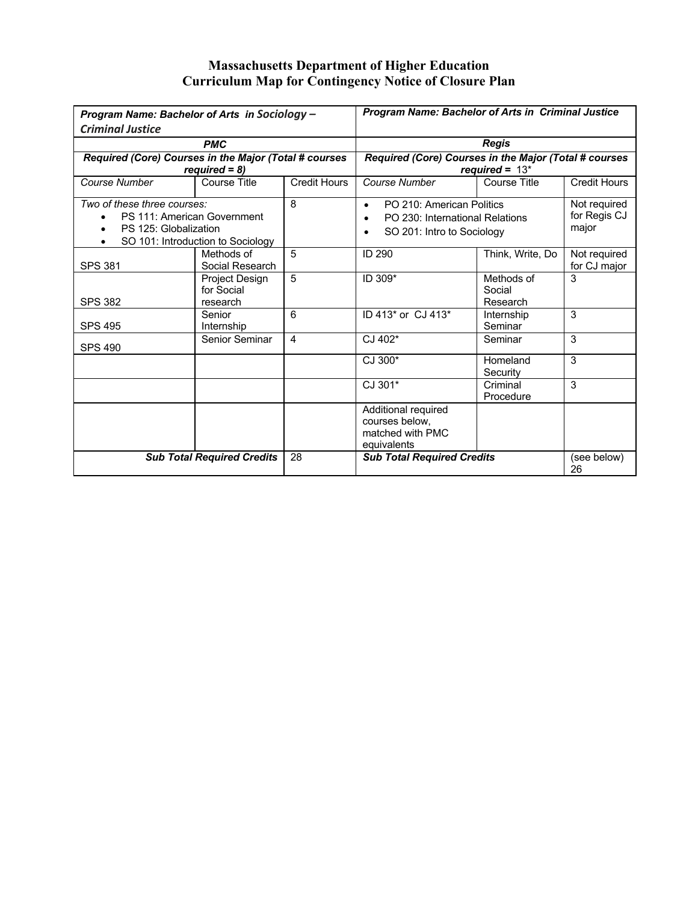## **Massachusetts Department of Higher Education Curriculum Map for Contingency Notice of Closure Plan**

| Program Name: Bachelor of Arts in Sociology -<br><b>Criminal Justice</b>                                                 |                                          |    | <b>Program Name: Bachelor of Arts in Criminal Justice</b>                                               |                                  |                                       |  |
|--------------------------------------------------------------------------------------------------------------------------|------------------------------------------|----|---------------------------------------------------------------------------------------------------------|----------------------------------|---------------------------------------|--|
| <b>PMC</b><br>Required (Core) Courses in the Major (Total # courses<br>$required = 8$ )                                  |                                          |    | <b>Regis</b><br>Required (Core) Courses in the Major (Total # courses<br>required = $13*$               |                                  |                                       |  |
|                                                                                                                          |                                          |    |                                                                                                         |                                  |                                       |  |
| Two of these three courses:<br>PS 111: American Government<br>PS 125: Globalization<br>SO 101: Introduction to Sociology |                                          | 8  | PO 210: American Politics<br>$\bullet$<br>PO 230: International Relations<br>SO 201: Intro to Sociology |                                  | Not required<br>for Regis CJ<br>major |  |
| <b>SPS 381</b>                                                                                                           | Methods of<br>Social Research            | 5  | <b>ID 290</b>                                                                                           | Think, Write, Do                 | Not required<br>for CJ major          |  |
| <b>SPS 382</b>                                                                                                           | Project Design<br>for Social<br>research | 5  | ID 309*                                                                                                 | Methods of<br>Social<br>Research | 3                                     |  |
| <b>SPS 495</b>                                                                                                           | Senior<br>Internship                     | 6  | ID 413* or CJ 413*                                                                                      | Internship<br>Seminar            | 3                                     |  |
| <b>SPS 490</b>                                                                                                           | Senior Seminar                           | 4  | CJ 402*                                                                                                 | Seminar                          | 3                                     |  |
|                                                                                                                          |                                          |    | $CJ$ 300 $*$                                                                                            | Homeland<br>Security             | 3                                     |  |
|                                                                                                                          |                                          |    | CJ 301*                                                                                                 | Criminal<br>Procedure            | 3                                     |  |
|                                                                                                                          |                                          |    | Additional required<br>courses below,<br>matched with PMC<br>equivalents                                |                                  |                                       |  |
| <b>Sub Total Required Credits</b>                                                                                        |                                          | 28 | <b>Sub Total Required Credits</b>                                                                       |                                  | (see below)<br>26                     |  |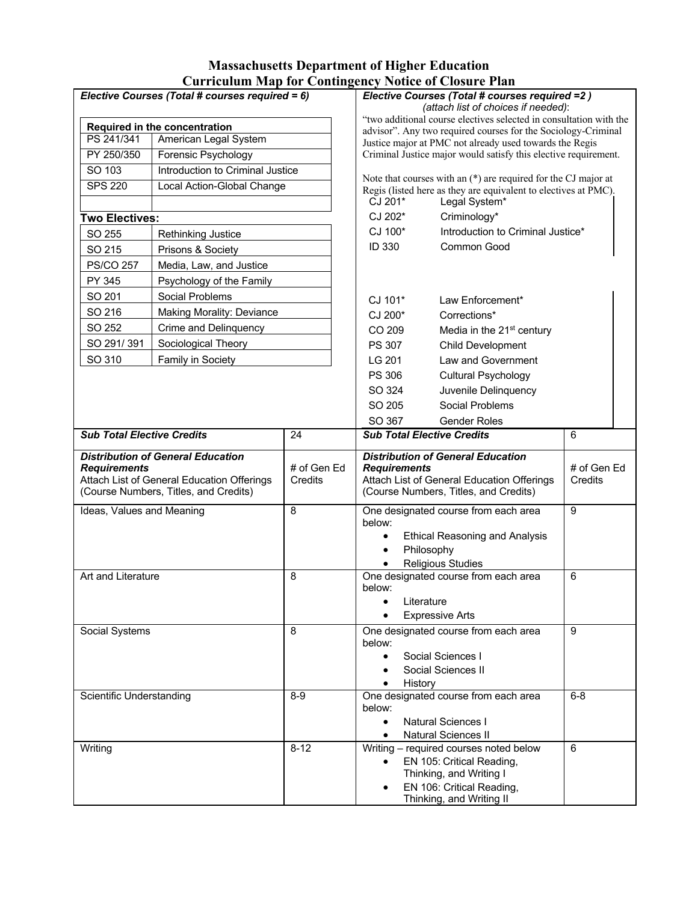## **Massachusetts Department of Higher Education Curriculum Map for Contingency Notice of Closure Plan**

| Elective Courses (Total # courses required = 6) |                                            |             |  | Elective Courses (Total # courses required =2)<br>(attach list of choices if needed):       |                                                                    |                |  |
|-------------------------------------------------|--------------------------------------------|-------------|--|---------------------------------------------------------------------------------------------|--------------------------------------------------------------------|----------------|--|
|                                                 |                                            |             |  |                                                                                             | "two additional course electives selected in consultation with the |                |  |
| Required in the concentration                   |                                            |             |  | advisor". Any two required courses for the Sociology-Criminal                               |                                                                    |                |  |
| PS 241/341                                      | American Legal System                      |             |  | Justice major at PMC not already used towards the Regis                                     |                                                                    |                |  |
| PY 250/350                                      | Forensic Psychology                        |             |  | Criminal Justice major would satisfy this elective requirement.                             |                                                                    |                |  |
| SO 103                                          | Introduction to Criminal Justice           |             |  |                                                                                             | Note that courses with an $(*)$ are required for the CJ major at   |                |  |
| <b>SPS 220</b>                                  | Local Action-Global Change                 |             |  | Regis (listed here as they are equivalent to electives at PMC).<br>CJ 201*<br>Legal System* |                                                                    |                |  |
| <b>Two Electives:</b>                           |                                            |             |  | CJ 202*<br>Criminology*                                                                     |                                                                    |                |  |
| SO 255<br><b>Rethinking Justice</b>             |                                            |             |  | CJ 100*<br>Introduction to Criminal Justice*                                                |                                                                    |                |  |
| SO 215                                          | Prisons & Society                          |             |  | <b>ID 330</b>                                                                               | Common Good                                                        |                |  |
| <b>PS/CO 257</b>                                | Media, Law, and Justice                    |             |  |                                                                                             |                                                                    |                |  |
| PY 345                                          | Psychology of the Family                   |             |  |                                                                                             |                                                                    |                |  |
| SO 201                                          | Social Problems                            |             |  | CJ 101*                                                                                     | Law Enforcement*                                                   |                |  |
| SO 216                                          | Making Morality: Deviance                  |             |  | CJ 200*                                                                                     | Corrections*                                                       |                |  |
| SO 252                                          | Crime and Delinquency                      |             |  | CO 209                                                                                      |                                                                    |                |  |
| SO 291/391                                      | Sociological Theory                        |             |  |                                                                                             | Media in the 21 <sup>st</sup> century                              |                |  |
|                                                 |                                            |             |  | <b>PS 307</b>                                                                               | Child Development                                                  |                |  |
| SO 310                                          | Family in Society                          |             |  | LG 201                                                                                      | Law and Government                                                 |                |  |
|                                                 |                                            |             |  | <b>PS 306</b>                                                                               | <b>Cultural Psychology</b>                                         |                |  |
|                                                 |                                            |             |  | SO 324                                                                                      | Juvenile Delinguency                                               |                |  |
|                                                 |                                            |             |  | SO 205                                                                                      | Social Problems                                                    |                |  |
|                                                 |                                            |             |  | SO 367                                                                                      | <b>Gender Roles</b>                                                |                |  |
| <b>Sub Total Elective Credits</b>               |                                            | 24          |  | <b>Sub Total Elective Credits</b>                                                           |                                                                    | $\overline{6}$ |  |
| <b>Distribution of General Education</b>        |                                            |             |  |                                                                                             |                                                                    |                |  |
|                                                 |                                            |             |  |                                                                                             | <b>Distribution of General Education</b>                           |                |  |
| <b>Requirements</b>                             |                                            | # of Gen Ed |  | <b>Requirements</b>                                                                         |                                                                    | # of Gen Ed    |  |
|                                                 | Attach List of General Education Offerings | Credits     |  |                                                                                             | Attach List of General Education Offerings                         | Credits        |  |
|                                                 | (Course Numbers, Titles, and Credits)      |             |  |                                                                                             | (Course Numbers, Titles, and Credits)                              |                |  |
| Ideas, Values and Meaning                       |                                            | 8           |  |                                                                                             | One designated course from each area                               | 9              |  |
|                                                 |                                            |             |  | below:<br>$\bullet$                                                                         |                                                                    |                |  |
|                                                 |                                            |             |  | Philosophy<br>$\bullet$                                                                     | <b>Ethical Reasoning and Analysis</b>                              |                |  |
|                                                 |                                            |             |  |                                                                                             | <b>Religious Studies</b>                                           |                |  |
| Art and Literature                              |                                            | 8           |  |                                                                                             | One designated course from each area                               | 6              |  |
|                                                 |                                            |             |  | below:<br>Literature                                                                        |                                                                    |                |  |
|                                                 |                                            |             |  |                                                                                             | <b>Expressive Arts</b>                                             |                |  |
| Social Systems                                  |                                            | 8           |  | below:                                                                                      | One designated course from each area                               | 9              |  |
|                                                 |                                            |             |  |                                                                                             | Social Sciences I                                                  |                |  |
|                                                 |                                            |             |  |                                                                                             | Social Sciences II                                                 |                |  |
|                                                 |                                            |             |  | History<br>٠                                                                                |                                                                    |                |  |
| Scientific Understanding                        |                                            | $8-9$       |  |                                                                                             | One designated course from each area                               | $6 - 8$        |  |
|                                                 |                                            |             |  | below:<br>$\bullet$                                                                         | <b>Natural Sciences I</b>                                          |                |  |
|                                                 |                                            |             |  | $\bullet$                                                                                   | <b>Natural Sciences II</b>                                         |                |  |
| Writing                                         |                                            | $8 - 12$    |  |                                                                                             | Writing - required courses noted below                             | 6              |  |
|                                                 |                                            |             |  | $\bullet$                                                                                   | EN 105: Critical Reading,                                          |                |  |
|                                                 |                                            |             |  | $\bullet$                                                                                   | Thinking, and Writing I<br>EN 106: Critical Reading,               |                |  |